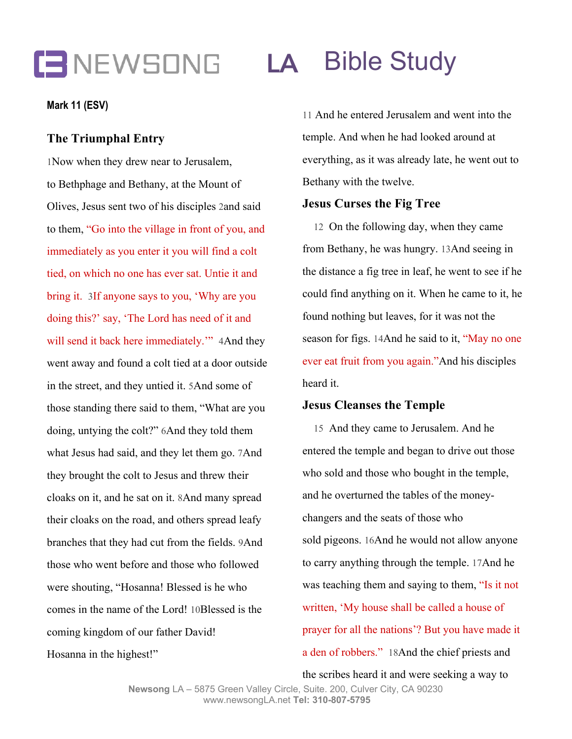# **LA** Bible Study

#### **Mark 11 (ESV)**

### **The Triumphal Entry**

1Now when they drew near to Jerusalem, to Bethphage and Bethany, at the Mount of Olives, Jesus sent two of his disciples 2and said to them, "Go into the village in front of you, and immediately as you enter it you will find a colt tied, on which no one has ever sat. Untie it and bring it. 3If anyone says to you, 'Why are you doing this?' say, 'The Lord has need of it and will send it back here immediately." 4And they went away and found a colt tied at a door outside in the street, and they untied it. 5And some of those standing there said to them, "What are you doing, untying the colt?" 6And they told them what Jesus had said, and they let them go. 7And they brought the colt to Jesus and threw their cloaks on it, and he sat on it. 8And many spread their cloaks on the road, and others spread leafy branches that they had cut from the fields. 9And those who went before and those who followed were shouting, "Hosanna! Blessed is he who comes in the name of the Lord! 10Blessed is the coming kingdom of our father David! Hosanna in the highest!"

11 And he entered Jerusalem and went into the temple. And when he had looked around at everything, as it was already late, he went out to Bethany with the twelve.

#### **Jesus Curses the Fig Tree**

12 On the following day, when they came from Bethany, he was hungry. 13And seeing in the distance a fig tree in leaf, he went to see if he could find anything on it. When he came to it, he found nothing but leaves, for it was not the season for figs. 14And he said to it, "May no one ever eat fruit from you again."And his disciples heard it.

### **Jesus Cleanses the Temple**

15 And they came to Jerusalem. And he entered the temple and began to drive out those who sold and those who bought in the temple, and he overturned the tables of the moneychangers and the seats of those who sold pigeons. 16And he would not allow anyone to carry anything through the temple. 17And he was teaching them and saying to them, "Is it not written, 'My house shall be called a house of prayer for all the nations'? But you have made it a den of robbers." 18And the chief priests and

the scribes heard it and were seeking a way to

**Newsong** LA – 5875 Green Valley Circle, Suite. 200, Culver City, CA 90230 www.newsongLA.net **Tel: 310-807-5795**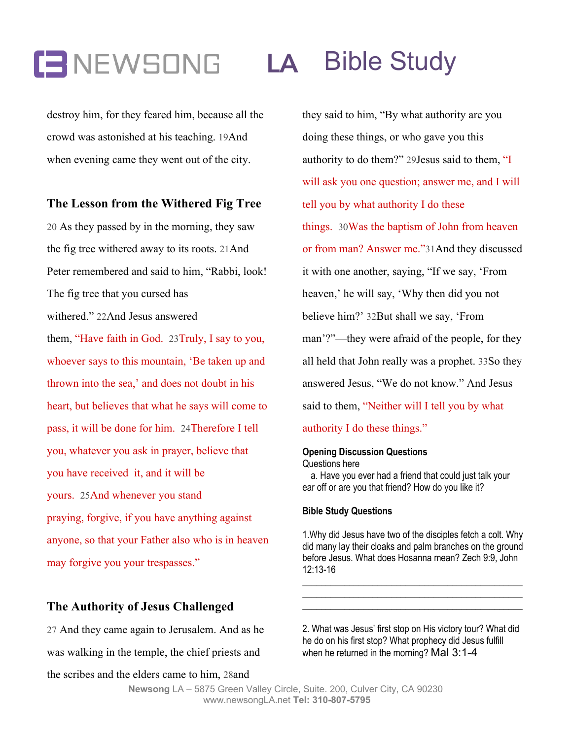# **LA** Bible Study

destroy him, for they feared him, because all the crowd was astonished at his teaching. 19And when evening came they went out of the city.

## **The Lesson from the Withered Fig Tree**

20 As they passed by in the morning, they saw the fig tree withered away to its roots. 21And Peter remembered and said to him, "Rabbi, look! The fig tree that you cursed has withered." 22And Jesus answered them, "Have faith in God. 23Truly, I say to you, whoever says to this mountain, 'Be taken up and thrown into the sea,' and does not doubt in his heart, but believes that what he says will come to pass, it will be done for him. 24Therefore I tell you, whatever you ask in prayer, believe that you have received it, and it will be yours. 25And whenever you stand praying, forgive, if you have anything against anyone, so that your Father also who is in heaven may forgive you your trespasses."

### **The Authority of Jesus Challenged**

27 And they came again to Jerusalem. And as he was walking in the temple, the chief priests and the scribes and the elders came to him, 28and

they said to him, "By what authority are you doing these things, or who gave you this authority to do them?" 29Jesus said to them, "I will ask you one question; answer me, and I will tell you by what authority I do these things. 30Was the baptism of John from heaven or from man? Answer me."31And they discussed it with one another, saying, "If we say, 'From heaven,' he will say, 'Why then did you not believe him?' 32But shall we say, 'From man'?"—they were afraid of the people, for they all held that John really was a prophet. 33So they answered Jesus, "We do not know." And Jesus said to them, "Neither will I tell you by what authority I do these things."

# **Opening Discussion Questions**

Questions here

a. Have you ever had a friend that could just talk your ear off or are you that friend? How do you like it?

#### **Bible Study Questions**

1.Why did Jesus have two of the disciples fetch a colt. Why did many lay their cloaks and palm branches on the ground before Jesus. What does Hosanna mean? Zech 9:9, John 12:13-16

\_\_\_\_\_\_\_\_\_\_\_\_\_\_\_\_\_\_\_\_\_\_\_\_\_\_\_\_\_\_\_\_\_\_\_\_\_\_\_\_\_\_\_\_\_\_\_ \_\_\_\_\_\_\_\_\_\_\_\_\_\_\_\_\_\_\_\_\_\_\_\_\_\_\_\_\_\_\_\_\_\_\_\_\_\_\_\_\_\_\_\_\_\_\_ \_\_\_\_\_\_\_\_\_\_\_\_\_\_\_\_\_\_\_\_\_\_\_\_\_\_\_\_\_\_\_\_\_\_\_\_\_\_\_\_\_\_\_\_\_\_\_

2. What was Jesus' first stop on His victory tour? What did he do on his first stop? What prophecy did Jesus fulfill when he returned in the morning? Mal 3:1-4